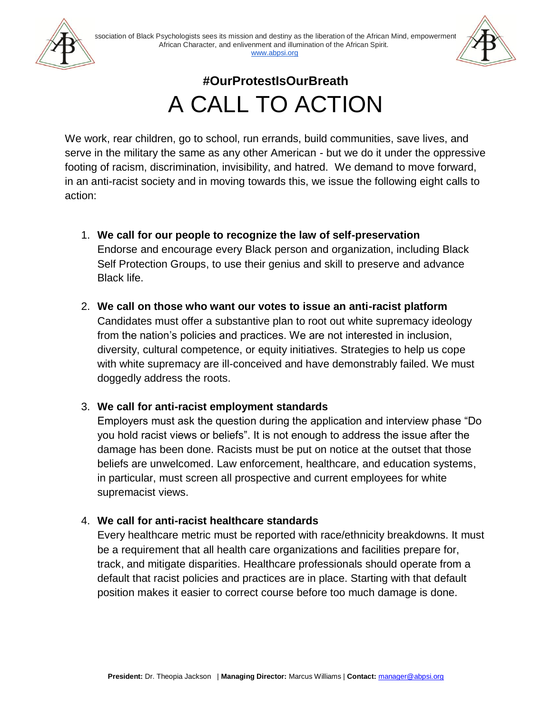

# **#OurProtestIsOurBreath** A CALL TO ACTION

We work, rear children, go to school, run errands, build communities, save lives, and serve in the military the same as any other American - but we do it under the oppressive footing of racism, discrimination, invisibility, and hatred. We demand to move forward, in an anti-racist society and in moving towards this, we issue the following eight calls to action:

- 1. **We call for our people to recognize the law of self-preservation**  Endorse and encourage every Black person and organization, including Black Self Protection Groups, to use their genius and skill to preserve and advance Black life.
- 2. **We call on those who want our votes to issue an anti-racist platform**  Candidates must offer a substantive plan to root out white supremacy ideology from the nation's policies and practices. We are not interested in inclusion, diversity, cultural competence, or equity initiatives. Strategies to help us cope with white supremacy are ill-conceived and have demonstrably failed. We must doggedly address the roots.

### 3. **We call for anti-racist employment standards**

Employers must ask the question during the application and interview phase "Do you hold racist views or beliefs". It is not enough to address the issue after the damage has been done. Racists must be put on notice at the outset that those beliefs are unwelcomed. Law enforcement, healthcare, and education systems, in particular, must screen all prospective and current employees for white supremacist views.

#### 4. **We call for anti-racist healthcare standards**

Every healthcare metric must be reported with race/ethnicity breakdowns. It must be a requirement that all health care organizations and facilities prepare for, track, and mitigate disparities. Healthcare professionals should operate from a default that racist policies and practices are in place. Starting with that default position makes it easier to correct course before too much damage is done.